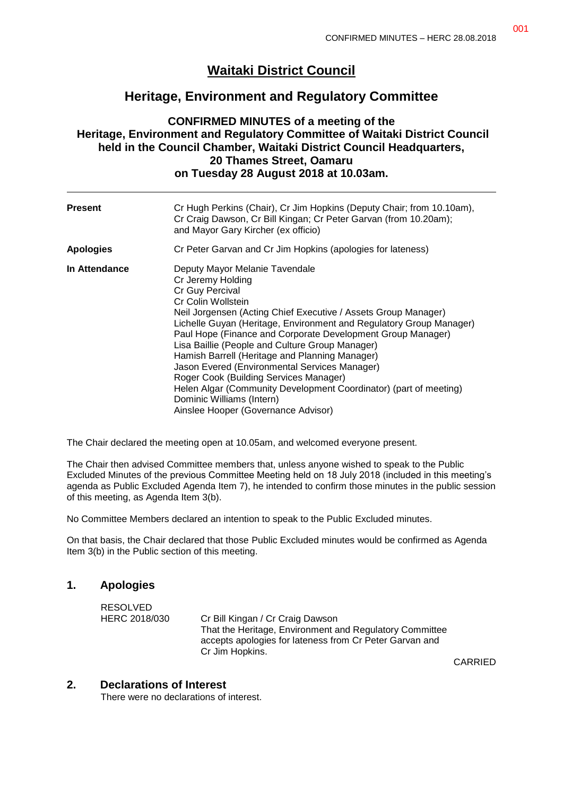# **Waitaki District Council**

# **Heritage, Environment and Regulatory Committee**

## **CONFIRMED MINUTES of a meeting of the Heritage, Environment and Regulatory Committee of Waitaki District Council held in the Council Chamber, Waitaki District Council Headquarters, 20 Thames Street, Oamaru on Tuesday 28 August 2018 at 10.03am.**

| <b>Present</b> | Cr Hugh Perkins (Chair), Cr Jim Hopkins (Deputy Chair; from 10.10am),<br>Cr Craig Dawson, Cr Bill Kingan; Cr Peter Garvan (from 10.20am);<br>and Mayor Gary Kircher (ex officio)                                                                                                                                                                                                                                                                                                                                                                                                                                                              |
|----------------|-----------------------------------------------------------------------------------------------------------------------------------------------------------------------------------------------------------------------------------------------------------------------------------------------------------------------------------------------------------------------------------------------------------------------------------------------------------------------------------------------------------------------------------------------------------------------------------------------------------------------------------------------|
| Apologies      | Cr Peter Garvan and Cr Jim Hopkins (apologies for lateness)                                                                                                                                                                                                                                                                                                                                                                                                                                                                                                                                                                                   |
| In Attendance  | Deputy Mayor Melanie Tavendale<br>Cr Jeremy Holding<br>Cr Guy Percival<br>Cr Colin Wollstein<br>Neil Jorgensen (Acting Chief Executive / Assets Group Manager)<br>Lichelle Guyan (Heritage, Environment and Regulatory Group Manager)<br>Paul Hope (Finance and Corporate Development Group Manager)<br>Lisa Baillie (People and Culture Group Manager)<br>Hamish Barrell (Heritage and Planning Manager)<br>Jason Evered (Environmental Services Manager)<br>Roger Cook (Building Services Manager)<br>Helen Algar (Community Development Coordinator) (part of meeting)<br>Dominic Williams (Intern)<br>Ainslee Hooper (Governance Advisor) |

The Chair declared the meeting open at 10.05am, and welcomed everyone present.

The Chair then advised Committee members that, unless anyone wished to speak to the Public Excluded Minutes of the previous Committee Meeting held on 18 July 2018 (included in this meeting's agenda as Public Excluded Agenda Item 7), he intended to confirm those minutes in the public session of this meeting, as Agenda Item 3(b).

No Committee Members declared an intention to speak to the Public Excluded minutes.

On that basis, the Chair declared that those Public Excluded minutes would be confirmed as Agenda Item 3(b) in the Public section of this meeting.

#### **1. Apologies**

RESOLVED HERC 2018/030 Cr Bill Kingan / Cr Craig Dawson That the Heritage, Environment and Regulatory Committee accepts apologies for lateness from Cr Peter Garvan and Cr Jim Hopkins.

CARRIED

#### **2. Declarations of Interest**

There were no declarations of interest.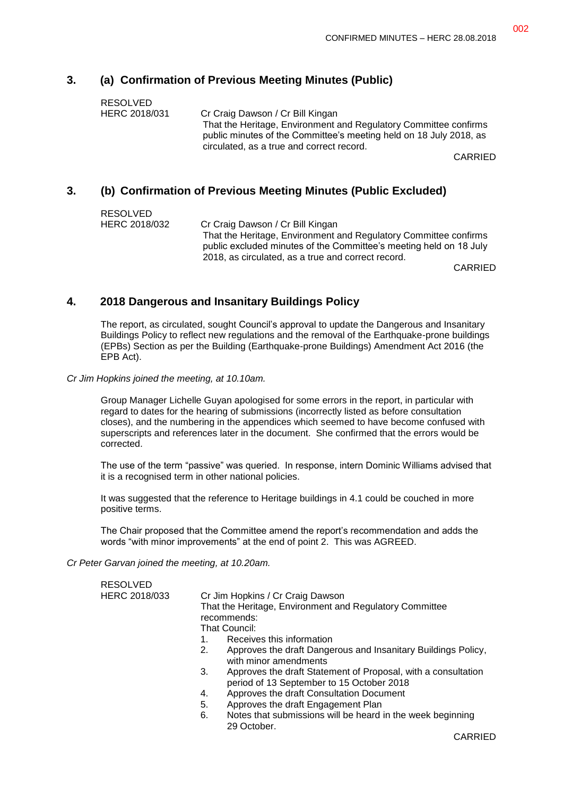# **3. (a) Confirmation of Previous Meeting Minutes (Public)**

|    | <b>RESOLVED</b><br>HERC 2018/031                               | Cr Craig Dawson / Cr Bill Kingan<br>That the Heritage, Environment and Regulatory Committee confirms<br>public minutes of the Committee's meeting held on 18 July 2018, as<br>circulated, as a true and correct record.<br>CARRIED |  |
|----|----------------------------------------------------------------|------------------------------------------------------------------------------------------------------------------------------------------------------------------------------------------------------------------------------------|--|
| 3. | (b) Confirmation of Previous Meeting Minutes (Public Excluded) |                                                                                                                                                                                                                                    |  |
|    | <b>RESOLVED</b>                                                |                                                                                                                                                                                                                                    |  |

HERC 2018/032 Cr Craig Dawson / Cr Bill Kingan That the Heritage, Environment and Regulatory Committee confirms public excluded minutes of the Committee's meeting held on 18 July 2018, as circulated, as a true and correct record.

CARRIED

## **4. 2018 Dangerous and Insanitary Buildings Policy**

The report, as circulated, sought Council's approval to update the Dangerous and Insanitary Buildings Policy to reflect new regulations and the removal of the Earthquake-prone buildings (EPBs) Section as per the Building (Earthquake-prone Buildings) Amendment Act 2016 (the EPB Act).

*Cr Jim Hopkins joined the meeting, at 10.10am.*

Group Manager Lichelle Guyan apologised for some errors in the report, in particular with regard to dates for the hearing of submissions (incorrectly listed as before consultation closes), and the numbering in the appendices which seemed to have become confused with superscripts and references later in the document. She confirmed that the errors would be corrected.

The use of the term "passive" was queried. In response, intern Dominic Williams advised that it is a recognised term in other national policies.

It was suggested that the reference to Heritage buildings in 4.1 could be couched in more positive terms.

The Chair proposed that the Committee amend the report's recommendation and adds the words "with minor improvements" at the end of point 2. This was AGREED.

*Cr Peter Garvan joined the meeting, at 10.20am.*

| <b>RESOLVED</b> |    |                                                                                        |
|-----------------|----|----------------------------------------------------------------------------------------|
| HERC 2018/033   |    | Cr Jim Hopkins / Cr Craig Dawson                                                       |
|                 |    | That the Heritage, Environment and Regulatory Committee                                |
|                 |    | recommends:                                                                            |
|                 |    | That Council:                                                                          |
|                 | 1. | Receives this information                                                              |
|                 | 2. | Approves the draft Dangerous and Insanitary Buildings Policy,<br>with minor amendments |
|                 | 3. | Approves the draft Statement of Proposal, with a consultation                          |
|                 |    | period of 13 September to 15 October 2018                                              |
|                 | 4. | Approves the draft Consultation Document                                               |
|                 | 5. | Approves the draft Engagement Plan                                                     |
|                 | ົ  | Notes that submissions will be heard in the week beginning                             |

Notes that submissions will be heard in the week beginning 29 October.

CARRIED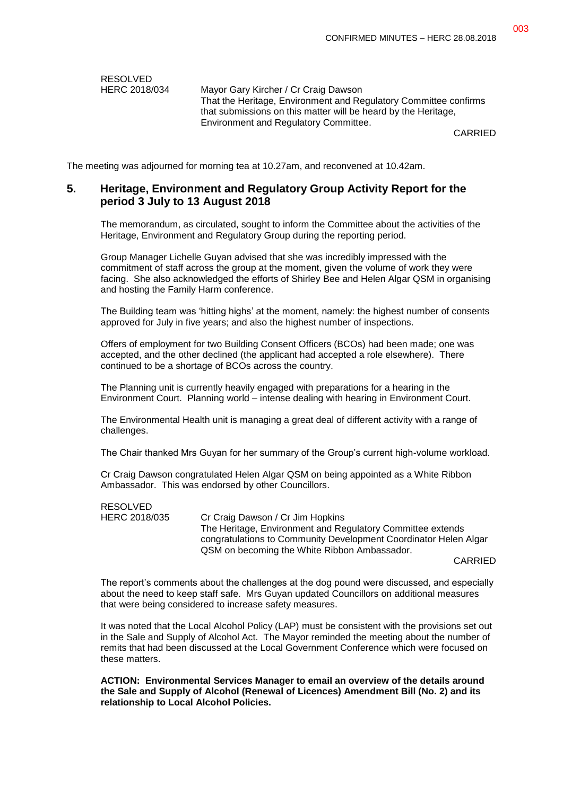RESOLVED

HERC 2018/034 Mayor Gary Kircher / Cr Craig Dawson That the Heritage, Environment and Regulatory Committee confirms that submissions on this matter will be heard by the Heritage, Environment and Regulatory Committee.

CARRIED

The meeting was adjourned for morning tea at 10.27am, and reconvened at 10.42am.

#### **5. Heritage, Environment and Regulatory Group Activity Report for the period 3 July to 13 August 2018**

The memorandum, as circulated, sought to inform the Committee about the activities of the Heritage, Environment and Regulatory Group during the reporting period.

Group Manager Lichelle Guyan advised that she was incredibly impressed with the commitment of staff across the group at the moment, given the volume of work they were facing. She also acknowledged the efforts of Shirley Bee and Helen Algar QSM in organising and hosting the Family Harm conference.

The Building team was 'hitting highs' at the moment, namely: the highest number of consents approved for July in five years; and also the highest number of inspections.

Offers of employment for two Building Consent Officers (BCOs) had been made; one was accepted, and the other declined (the applicant had accepted a role elsewhere). There continued to be a shortage of BCOs across the country.

The Planning unit is currently heavily engaged with preparations for a hearing in the Environment Court. Planning world – intense dealing with hearing in Environment Court.

The Environmental Health unit is managing a great deal of different activity with a range of challenges.

The Chair thanked Mrs Guyan for her summary of the Group's current high-volume workload.

Cr Craig Dawson congratulated Helen Algar QSM on being appointed as a White Ribbon Ambassador. This was endorsed by other Councillors.

| <b>RESOLVED</b> |                                                                                                                                                                                |
|-----------------|--------------------------------------------------------------------------------------------------------------------------------------------------------------------------------|
| HERC 2018/035   | Cr Craig Dawson / Cr Jim Hopkins                                                                                                                                               |
|                 | The Heritage, Environment and Regulatory Committee extends<br>congratulations to Community Development Coordinator Helen Algar<br>QSM on becoming the White Ribbon Ambassador. |
|                 | CARRIED                                                                                                                                                                        |

The report's comments about the challenges at the dog pound were discussed, and especially about the need to keep staff safe. Mrs Guyan updated Councillors on additional measures that were being considered to increase safety measures.

It was noted that the Local Alcohol Policy (LAP) must be consistent with the provisions set out in the Sale and Supply of Alcohol Act. The Mayor reminded the meeting about the number of remits that had been discussed at the Local Government Conference which were focused on these matters.

**ACTION: Environmental Services Manager to email an overview of the details around the Sale and Supply of Alcohol (Renewal of Licences) Amendment Bill (No. 2) and its relationship to Local Alcohol Policies.**